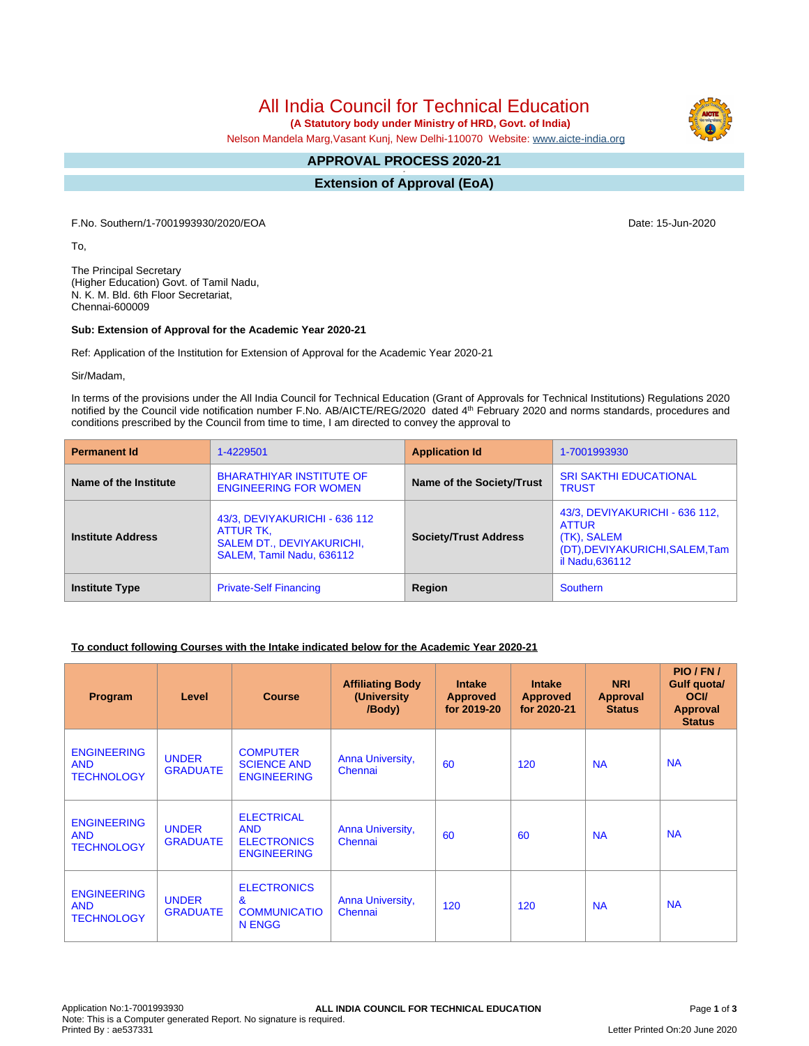All India Council for Technical Education

 **(A Statutory body under Ministry of HRD, Govt. of India)**

Nelson Mandela Marg,Vasant Kunj, New Delhi-110070 Website: [www.aicte-india.org](http://www.aicte-india.org)

#### **APPROVAL PROCESS 2020-21 -**

**Extension of Approval (EoA)**

F.No. Southern/1-7001993930/2020/EOA Date: 15-Jun-2020

To,

The Principal Secretary (Higher Education) Govt. of Tamil Nadu, N. K. M. Bld. 6th Floor Secretariat, Chennai-600009

#### **Sub: Extension of Approval for the Academic Year 2020-21**

Ref: Application of the Institution for Extension of Approval for the Academic Year 2020-21

Sir/Madam,

In terms of the provisions under the All India Council for Technical Education (Grant of Approvals for Technical Institutions) Regulations 2020 notified by the Council vide notification number F.No. AB/AICTE/REG/2020 dated 4<sup>th</sup> February 2020 and norms standards, procedures and conditions prescribed by the Council from time to time, I am directed to convey the approval to

| <b>Permanent Id</b>      | 1-4229501                                                                                                   | <b>Application Id</b>        | 1-7001993930                                                                                                       |  |
|--------------------------|-------------------------------------------------------------------------------------------------------------|------------------------------|--------------------------------------------------------------------------------------------------------------------|--|
| Name of the Institute    | <b>BHARATHIYAR INSTITUTE OF</b><br><b>ENGINEERING FOR WOMEN</b>                                             | Name of the Society/Trust    | <b>SRI SAKTHI EDUCATIONAL</b><br><b>TRUST</b>                                                                      |  |
| <b>Institute Address</b> | 43/3, DEVIYAKURICHI - 636 112<br>ATTUR TK,<br><b>SALEM DT., DEVIYAKURICHI,</b><br>SALEM, Tamil Nadu, 636112 | <b>Society/Trust Address</b> | 43/3, DEVIYAKURICHI - 636 112,<br><b>ATTUR</b><br>(TK), SALEM<br>(DT), DEVIYAKURICHI, SALEM, Tam<br>il Nadu.636112 |  |
| <b>Institute Type</b>    | <b>Private-Self Financing</b>                                                                               | Region                       | <b>Southern</b>                                                                                                    |  |

# **To conduct following Courses with the Intake indicated below for the Academic Year 2020-21**

| Program                                               | Level                           | <b>Course</b>                                                               | <b>Affiliating Body</b><br>(University)<br>/Body) | <b>Intake</b><br><b>Approved</b><br>for 2019-20 | <b>Intake</b><br><b>Approved</b><br>for 2020-21 | <b>NRI</b><br>Approval<br><b>Status</b> | PIO/FN/<br>Gulf quota/<br><b>OCI</b><br><b>Approval</b><br><b>Status</b> |
|-------------------------------------------------------|---------------------------------|-----------------------------------------------------------------------------|---------------------------------------------------|-------------------------------------------------|-------------------------------------------------|-----------------------------------------|--------------------------------------------------------------------------|
| <b>ENGINEERING</b><br><b>AND</b><br><b>TECHNOLOGY</b> | <b>UNDER</b><br><b>GRADUATE</b> | <b>COMPUTER</b><br><b>SCIENCE AND</b><br><b>ENGINEERING</b>                 | Anna University,<br>Chennai                       | 60                                              | 120                                             | <b>NA</b>                               | <b>NA</b>                                                                |
| <b>ENGINEERING</b><br><b>AND</b><br><b>TECHNOLOGY</b> | <b>UNDER</b><br><b>GRADUATE</b> | <b>ELECTRICAL</b><br><b>AND</b><br><b>ELECTRONICS</b><br><b>ENGINEERING</b> | Anna University,<br>Chennai                       | 60                                              | 60                                              | <b>NA</b>                               | <b>NA</b>                                                                |
| <b>ENGINEERING</b><br><b>AND</b><br><b>TECHNOLOGY</b> | <b>UNDER</b><br><b>GRADUATE</b> | <b>ELECTRONICS</b><br>$\mathbf{g}$<br><b>COMMUNICATIO</b><br>N ENGG         | Anna University,<br>Chennai                       | 120                                             | 120                                             | <b>NA</b>                               | <b>NA</b>                                                                |

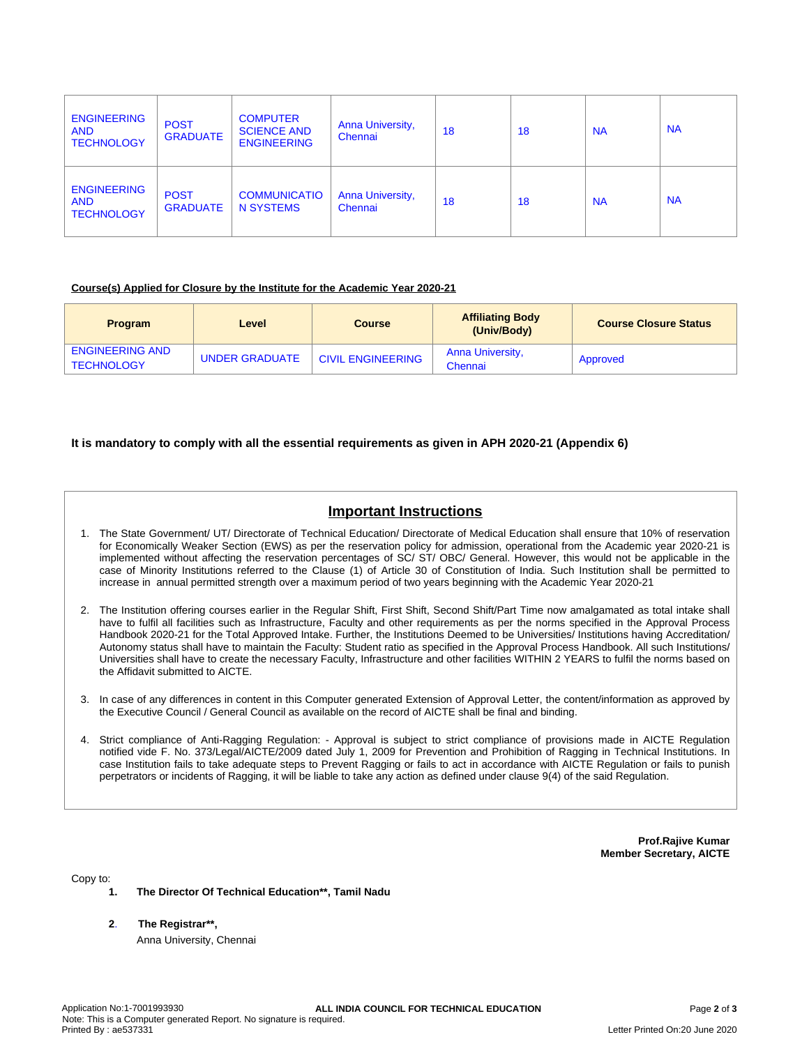| <b>ENGINEERING</b><br><b>AND</b><br><b>TECHNOLOGY</b> | <b>POST</b><br><b>GRADUATE</b> | <b>COMPUTER</b><br><b>SCIENCE AND</b><br><b>ENGINEERING</b> | <b>Anna University,</b><br>Chennai | 18 | 18 | <b>NA</b> | <b>NA</b> |
|-------------------------------------------------------|--------------------------------|-------------------------------------------------------------|------------------------------------|----|----|-----------|-----------|
| <b>ENGINEERING</b><br><b>AND</b><br><b>TECHNOLOGY</b> | <b>POST</b><br><b>GRADUATE</b> | <b>COMMUNICATIO</b><br>N SYSTEMS                            | <b>Anna University,</b><br>Chennai | 18 | 18 | <b>NA</b> | <b>NA</b> |

### **Course(s) Applied for Closure by the Institute for the Academic Year 2020-21**

| <b>Program</b>                              | Level          | <b>Course</b>            | <b>Affiliating Body</b><br>(Univ/Body) | <b>Course Closure Status</b> |
|---------------------------------------------|----------------|--------------------------|----------------------------------------|------------------------------|
| <b>ENGINEERING AND</b><br><b>TECHNOLOGY</b> | UNDER GRADUATE | <b>CIVIL ENGINEERING</b> | <b>Anna University,</b><br>Chennai     | Approved                     |

# **It is mandatory to comply with all the essential requirements as given in APH 2020-21 (Appendix 6)**

# **Important Instructions**

- 1. The State Government/ UT/ Directorate of Technical Education/ Directorate of Medical Education shall ensure that 10% of reservation for Economically Weaker Section (EWS) as per the reservation policy for admission, operational from the Academic year 2020-21 is implemented without affecting the reservation percentages of SC/ ST/ OBC/ General. However, this would not be applicable in the case of Minority Institutions referred to the Clause (1) of Article 30 of Constitution of India. Such Institution shall be permitted to increase in annual permitted strength over a maximum period of two years beginning with the Academic Year 2020-21
- 2. The Institution offering courses earlier in the Regular Shift, First Shift, Second Shift/Part Time now amalgamated as total intake shall have to fulfil all facilities such as Infrastructure, Faculty and other requirements as per the norms specified in the Approval Process Handbook 2020-21 for the Total Approved Intake. Further, the Institutions Deemed to be Universities/ Institutions having Accreditation/ Autonomy status shall have to maintain the Faculty: Student ratio as specified in the Approval Process Handbook. All such Institutions/ Universities shall have to create the necessary Faculty, Infrastructure and other facilities WITHIN 2 YEARS to fulfil the norms based on the Affidavit submitted to AICTE.
- 3. In case of any differences in content in this Computer generated Extension of Approval Letter, the content/information as approved by the Executive Council / General Council as available on the record of AICTE shall be final and binding.
- 4. Strict compliance of Anti-Ragging Regulation: Approval is subject to strict compliance of provisions made in AICTE Regulation notified vide F. No. 373/Legal/AICTE/2009 dated July 1, 2009 for Prevention and Prohibition of Ragging in Technical Institutions. In case Institution fails to take adequate steps to Prevent Ragging or fails to act in accordance with AICTE Regulation or fails to punish perpetrators or incidents of Ragging, it will be liable to take any action as defined under clause 9(4) of the said Regulation.

**Prof.Rajive Kumar Member Secretary, AICTE**

Copy to:

- **1. The Director Of Technical Education\*\*, Tamil Nadu**
- **2**. **The Registrar\*\*,**

Anna University, Chennai